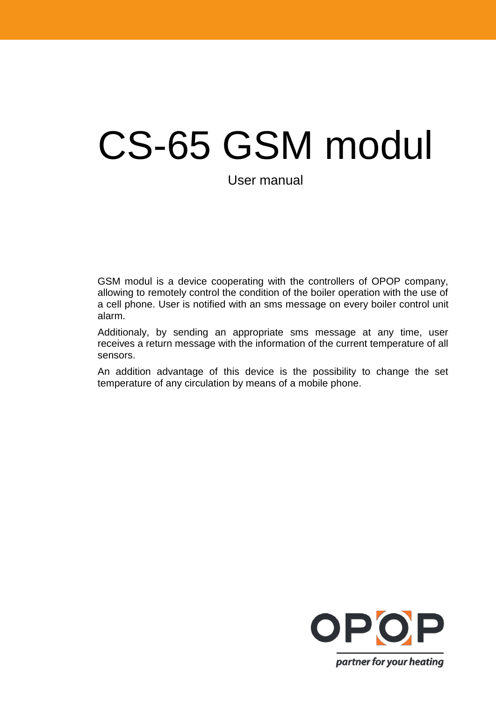# CS-65 GSM modul

User manual

GSM modul is a device cooperating with the controllers of OPOP company, allowing to remotely control the condition of the boiler operation with the use of a cell phone. User is notified with an sms message on every boiler control unit alarm.

Additionaly, by sending an appropriate sms message at any time, user receives a return message with the information of the current temperature of all sensors.

An addition advantage of this device is the possibility to change the set temperature of any circulation by means of a mobile phone.

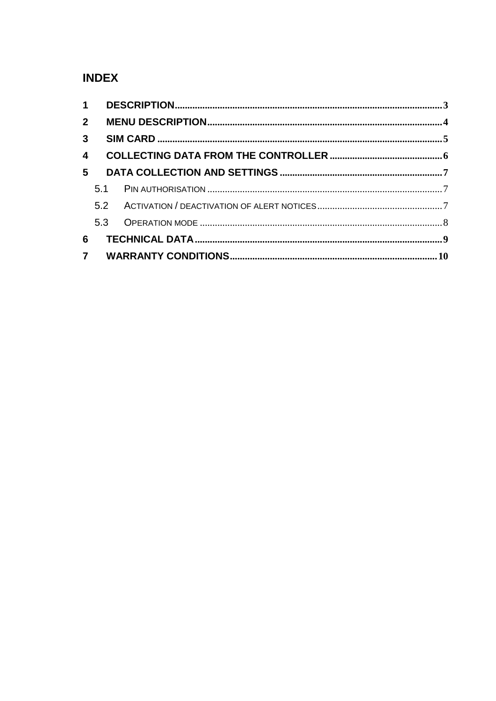# **INDEX**

| 3 <sup>1</sup>          |     |  |
|-------------------------|-----|--|
| $\overline{\mathbf{4}}$ |     |  |
| 5                       |     |  |
|                         |     |  |
|                         |     |  |
|                         | 5.3 |  |
| 6                       |     |  |
|                         |     |  |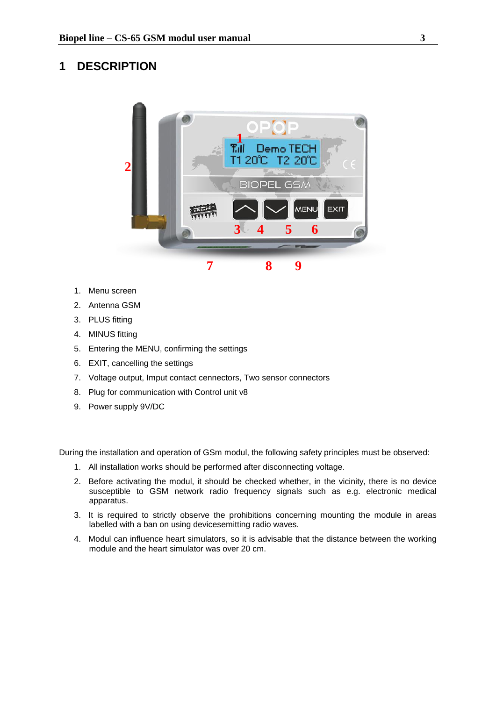#### <span id="page-2-0"></span>**1 DESCRIPTION**



- 1. Menu screen
- 2. Antenna GSM
- 3. PLUS fitting
- 4. MINUS fitting
- 5. Entering the MENU, confirming the settings
- 6. EXIT, cancelling the settings
- 7. Voltage output, Imput contact cennectors, Two sensor connectors
- 8. Plug for communication with Control unit v8
- 9. Power supply 9V/DC

During the installation and operation of GSm modul, the following safety principles must be observed:

- 1. All installation works should be performed after disconnecting voltage.
- 2. Before activating the modul, it should be checked whether, in the vicinity, there is no device susceptible to GSM network radio frequency signals such as e.g. electronic medical apparatus.
- 3. It is required to strictly observe the prohibitions concerning mounting the module in areas labelled with a ban on using devicesemitting radio waves.
- 4. Modul can influence heart simulators, so it is advisable that the distance between the working module and the heart simulator was over 20 cm.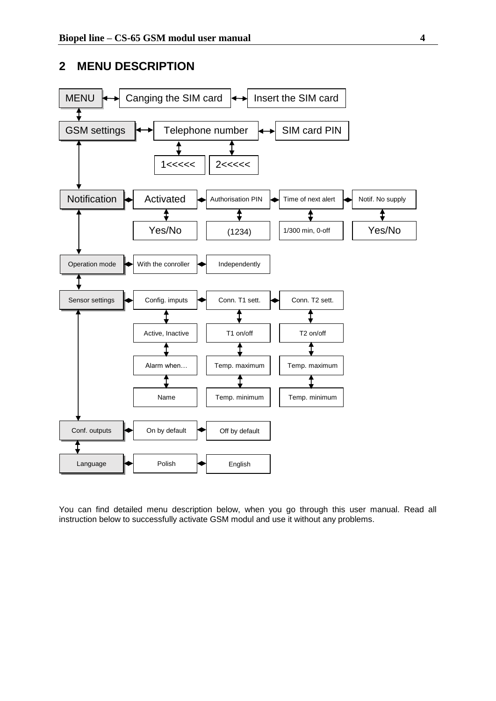#### <span id="page-3-0"></span>**2 MENU DESCRIPTION**



You can find detailed menu description below, when you go through this user manual. Read all instruction below to successfully activate GSM modul and use it without any problems.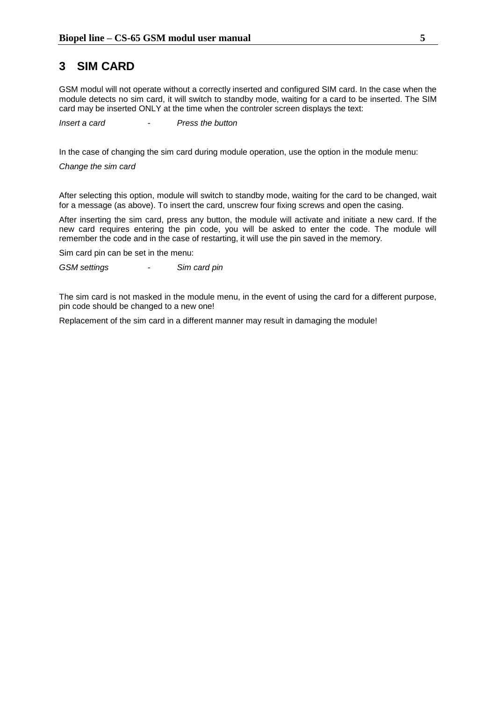#### <span id="page-4-0"></span>**3 SIM CARD**

GSM modul will not operate without a correctly inserted and configured SIM card. In the case when the module detects no sim card, it will switch to standby mode, waiting for a card to be inserted. The SIM card may be inserted ONLY at the time when the controler screen displays the text:

*Insert a card - Press the button*

In the case of changing the sim card during module operation, use the option in the module menu:

*Change the sim card* 

After selecting this option, module will switch to standby mode, waiting for the card to be changed, wait for a message (as above). To insert the card, unscrew four fixing screws and open the casing.

After inserting the sim card, press any button, the module will activate and initiate a new card. If the new card requires entering the pin code, you will be asked to enter the code. The module will remember the code and in the case of restarting, it will use the pin saved in the memory.

Sim card pin can be set in the menu:

*GSM settings - Sim card pin*

The sim card is not masked in the module menu, in the event of using the card for a different purpose, pin code should be changed to a new one!

Replacement of the sim card in a different manner may result in damaging the module!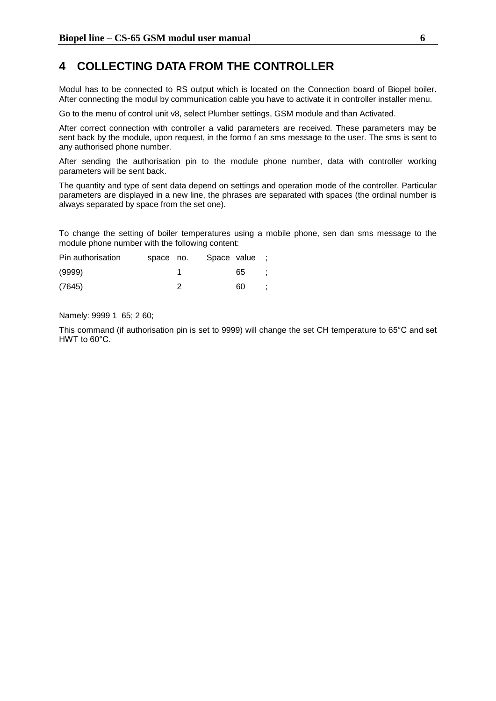#### <span id="page-5-0"></span>**4 COLLECTING DATA FROM THE CONTROLLER**

Modul has to be connected to RS output which is located on the Connection board of Biopel boiler. After connecting the modul by communication cable you have to activate it in controller installer menu.

Go to the menu of control unit v8, select Plumber settings, GSM module and than Activated.

After correct connection with controller a valid parameters are received. These parameters may be sent back by the module, upon request, in the formo f an sms message to the user. The sms is sent to any authorised phone number.

After sending the authorisation pin to the module phone number, data with controller working parameters will be sent back.

The quantity and type of sent data depend on settings and operation mode of the controller. Particular parameters are displayed in a new line, the phrases are separated with spaces (the ordinal number is always separated by space from the set one).

To change the setting of boiler temperatures using a mobile phone, sen dan sms message to the module phone number with the following content:

| Pin authorisation | space no. | Space value |    | ÷. |
|-------------------|-----------|-------------|----|----|
| (9999)            |           |             | 65 |    |
| (7645)            |           |             | 60 |    |

Namely: 9999 1 65; 2 60;

This command (if authorisation pin is set to 9999) will change the set CH temperature to 65°C and set HWT to 60°C.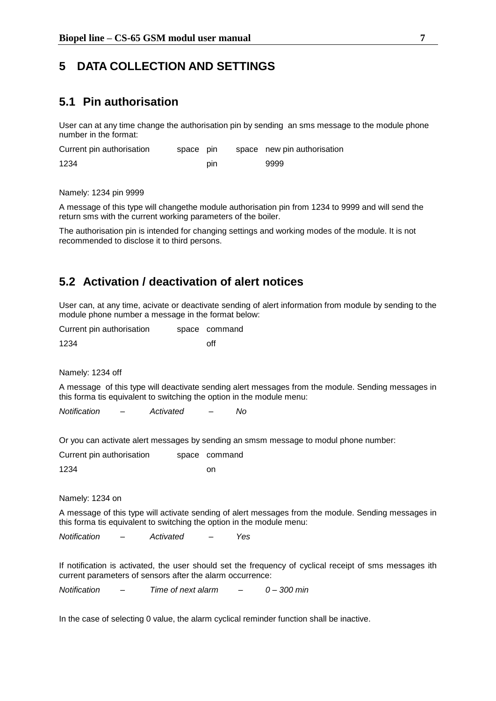#### <span id="page-6-0"></span>**5 DATA COLLECTION AND SETTINGS**

#### <span id="page-6-1"></span>**5.1 Pin authorisation**

User can at any time change the authorisation pin by sending an sms message to the module phone number in the format:

| Current pin authorisation | space pin |     | space new pin authorisation |
|---------------------------|-----------|-----|-----------------------------|
| 1234                      |           | pin | 9999                        |

Namely: 1234 pin 9999

A message of this type will changethe module authorisation pin from 1234 to 9999 and will send the return sms with the current working parameters of the boiler.

The authorisation pin is intended for changing settings and working modes of the module. It is not recommended to disclose it to third persons.

#### <span id="page-6-2"></span>**5.2 Activation / deactivation of alert notices**

User can, at any time, acivate or deactivate sending of alert information from module by sending to the module phone number a message in the format below:

| Current pin authorisation | space command |
|---------------------------|---------------|
| 1234                      | off           |

Namely: 1234 off

A message of this type will deactivate sending alert messages from the module. Sending messages in this forma tis equivalent to switching the option in the module menu:

*Notification – Activated – No*

Or you can activate alert messages by sending an smsm message to modul phone number:

Current pin authorisation space command 1234 on

Namely: 1234 on

A message of this type will activate sending of alert messages from the module. Sending messages in this forma tis equivalent to switching the option in the module menu:

*Notification – Activated – Yes*

If notification is activated, the user should set the frequency of cyclical receipt of sms messages ith current parameters of sensors after the alarm occurrence:

*Notification – Time of next alarm – 0 – 300 min*

In the case of selecting 0 value, the alarm cyclical reminder function shall be inactive.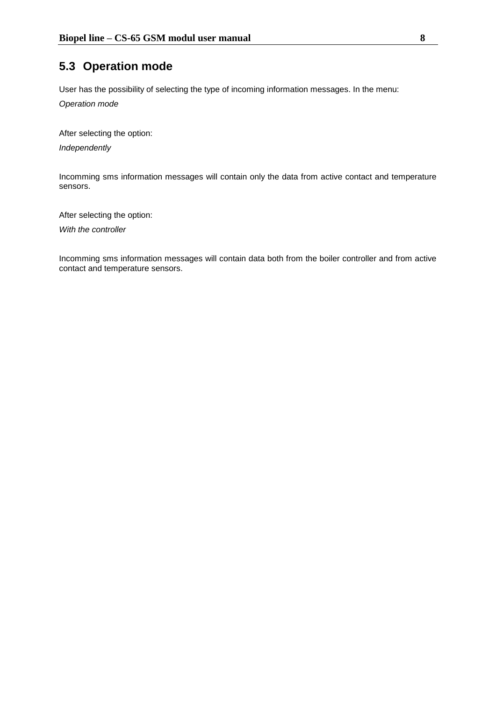### <span id="page-7-0"></span>**5.3 Operation mode**

User has the possibility of selecting the type of incoming information messages. In the menu:

*Operation mode*

After selecting the option:

*Independently*

Incomming sms information messages will contain only the data from active contact and temperature sensors.

After selecting the option:

*With the controller*

Incomming sms information messages will contain data both from the boiler controller and from active contact and temperature sensors.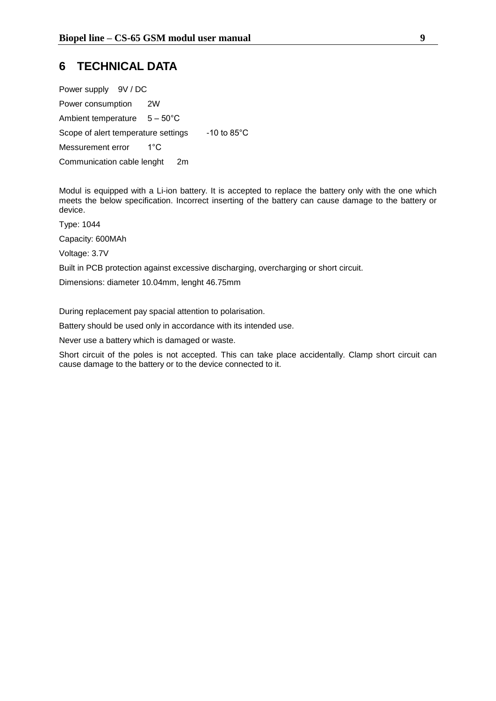#### <span id="page-8-0"></span>**6 TECHNICAL DATA**

| Power supply 9V / DC                   |     |                         |
|----------------------------------------|-----|-------------------------|
| Power consumption                      | 2W  |                         |
| Ambient temperature $5 - 50^{\circ}$ C |     |                         |
| Scope of alert temperature settings    |     | $-10$ to 85 $\degree$ C |
| Messurement error                      | 1°C |                         |
| Communication cable lenght             | 2m  |                         |

Modul is equipped with a Li-ion battery. It is accepted to replace the battery only with the one which meets the below specification. Incorrect inserting of the battery can cause damage to the battery or device.

Type: 1044

Capacity: 600MAh

Voltage: 3.7V

Built in PCB protection against excessive discharging, overcharging or short circuit.

Dimensions: diameter 10.04mm, lenght 46.75mm

During replacement pay spacial attention to polarisation.

Battery should be used only in accordance with its intended use.

Never use a battery which is damaged or waste.

Short circuit of the poles is not accepted. This can take place accidentally. Clamp short circuit can cause damage to the battery or to the device connected to it.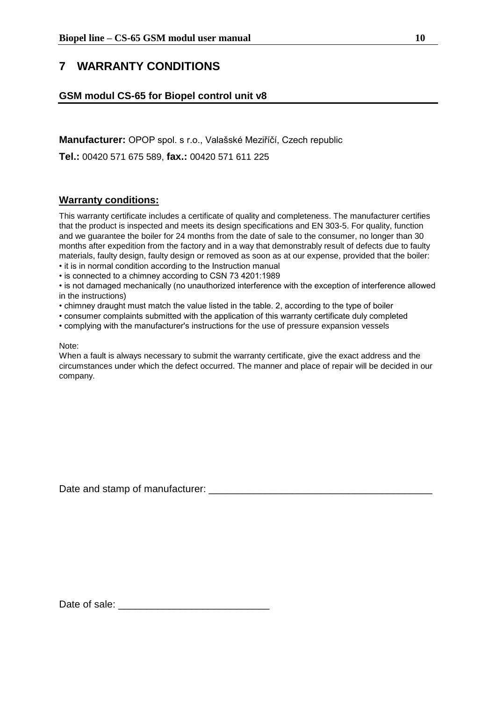## <span id="page-9-0"></span>**7 WARRANTY CONDITIONS**

#### **GSM modul CS-65 for Biopel control unit v8**

**Manufacturer:** OPOP spol. s r.o., Valašské Meziříčí, Czech republic

**Tel.:** 00420 571 675 589, **fax.:** 00420 571 611 225

#### **Warranty conditions:**

This warranty certificate includes a certificate of quality and completeness. The manufacturer certifies that the product is inspected and meets its design specifications and EN 303-5. For quality, function and we guarantee the boiler for 24 months from the date of sale to the consumer, no longer than 30 months after expedition from the factory and in a way that demonstrably result of defects due to faulty materials, faulty design, faulty design or removed as soon as at our expense, provided that the boiler:

• it is in normal condition according to the Instruction manual

• is connected to a chimney according to CSN 73 4201:1989

• is not damaged mechanically (no unauthorized interference with the exception of interference allowed in the instructions)

- chimney draught must match the value listed in the table. 2, according to the type of boiler
- consumer complaints submitted with the application of this warranty certificate duly completed
- complying with the manufacturer's instructions for the use of pressure expansion vessels

#### Note:

When a fault is always necessary to submit the warranty certificate, give the exact address and the circumstances under which the defect occurred. The manner and place of repair will be decided in our company.

Date and stamp of manufacturer:  $\Box$ 

Date of sale:  $\Box$